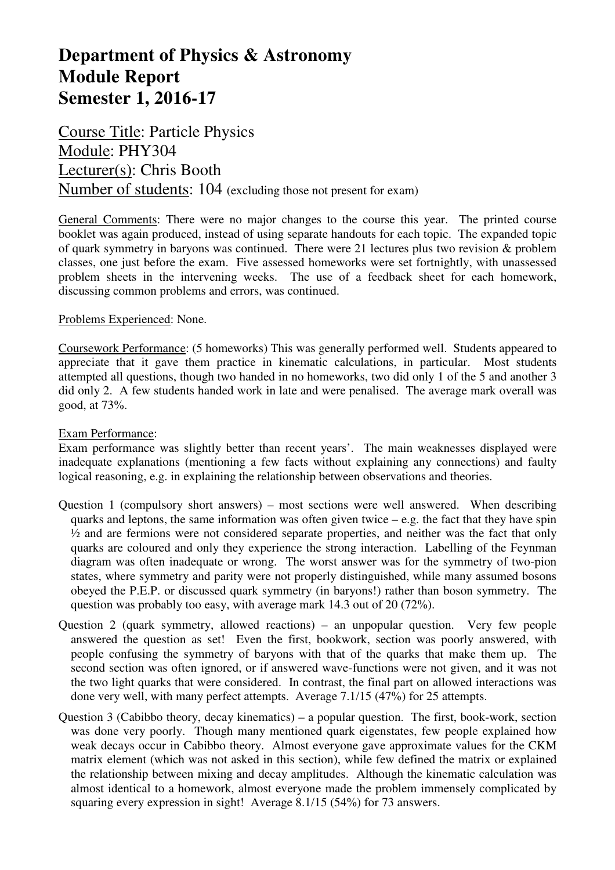# **Department of Physics & Astronomy Module Report Semester 1, 2016-17**

Course Title: Particle Physics Module: PHY304 Lecturer(s): Chris Booth Number of students: 104 (excluding those not present for exam)

General Comments: There were no major changes to the course this year. The printed course booklet was again produced, instead of using separate handouts for each topic. The expanded topic of quark symmetry in baryons was continued. There were 21 lectures plus two revision & problem classes, one just before the exam. Five assessed homeworks were set fortnightly, with unassessed problem sheets in the intervening weeks. The use of a feedback sheet for each homework, discussing common problems and errors, was continued.

## Problems Experienced: None.

Coursework Performance: (5 homeworks) This was generally performed well. Students appeared to appreciate that it gave them practice in kinematic calculations, in particular. Most students attempted all questions, though two handed in no homeworks, two did only 1 of the 5 and another 3 did only 2. A few students handed work in late and were penalised. The average mark overall was good, at 73%.

#### Exam Performance:

Exam performance was slightly better than recent years'. The main weaknesses displayed were inadequate explanations (mentioning a few facts without explaining any connections) and faulty logical reasoning, e.g. in explaining the relationship between observations and theories.

- Question 1 (compulsory short answers) most sections were well answered. When describing quarks and leptons, the same information was often given twice  $-$  e.g. the fact that they have spin  $\frac{1}{2}$  and are fermions were not considered separate properties, and neither was the fact that only quarks are coloured and only they experience the strong interaction. Labelling of the Feynman diagram was often inadequate or wrong. The worst answer was for the symmetry of two-pion states, where symmetry and parity were not properly distinguished, while many assumed bosons obeyed the P.E.P. or discussed quark symmetry (in baryons!) rather than boson symmetry. The question was probably too easy, with average mark 14.3 out of 20 (72%).
- Question 2 (quark symmetry, allowed reactions) an unpopular question. Very few people answered the question as set! Even the first, bookwork, section was poorly answered, with people confusing the symmetry of baryons with that of the quarks that make them up. The second section was often ignored, or if answered wave-functions were not given, and it was not the two light quarks that were considered. In contrast, the final part on allowed interactions was done very well, with many perfect attempts. Average 7.1/15 (47%) for 25 attempts.
- Question 3 (Cabibbo theory, decay kinematics) a popular question. The first, book-work, section was done very poorly. Though many mentioned quark eigenstates, few people explained how weak decays occur in Cabibbo theory. Almost everyone gave approximate values for the CKM matrix element (which was not asked in this section), while few defined the matrix or explained the relationship between mixing and decay amplitudes. Although the kinematic calculation was almost identical to a homework, almost everyone made the problem immensely complicated by squaring every expression in sight! Average 8.1/15 (54%) for 73 answers.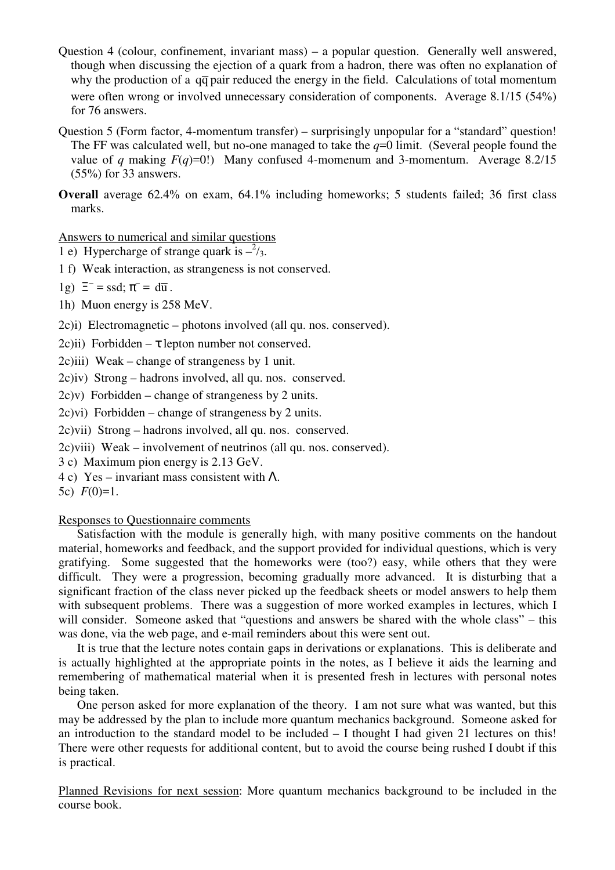- Question 4 (colour, confinement, invariant mass) a popular question. Generally well answered, though when discussing the ejection of a quark from a hadron, there was often no explanation of why the production of a  $q\bar{q}$  pair reduced the energy in the field. Calculations of total momentum were often wrong or involved unnecessary consideration of components. Average 8.1/15 (54%) for 76 answers.
- Question 5 (Form factor, 4-momentum transfer) surprisingly unpopular for a "standard" question! The FF was calculated well, but no-one managed to take the  $q=0$  limit. (Several people found the value of *q* making  $F(q)=0$ !) Many confused 4-momenum and 3-momentum. Average 8.2/15 (55%) for 33 answers.
- **Overall** average 62.4% on exam, 64.1% including homeworks; 5 students failed; 36 first class marks.

## Answers to numerical and similar questions

- 1 e) Hypercharge of strange quark is  $-\frac{2}{3}$ .
- 1 f) Weak interaction, as strangeness is not conserved.
- 1g)  $\Xi^-$  = ssd;  $\pi^-$  = d $\overline{u}$ .
- 1h) Muon energy is 258 MeV.
- 2c)i) Electromagnetic photons involved (all qu. nos. conserved).
- 2c)ii) Forbidden  $\tau$  lepton number not conserved.
- 2c)iii) Weak change of strangeness by 1 unit.
- 2c)iv) Strong hadrons involved, all qu. nos. conserved.
- 2c)v) Forbidden change of strangeness by 2 units.
- $2c$ )vi) Forbidden change of strangeness by 2 units.
- 2c)vii) Strong hadrons involved, all qu. nos. conserved.
- 2c)viii) Weak involvement of neutrinos (all qu. nos. conserved).
- 3 c) Maximum pion energy is 2.13 GeV.
- 4 c) Yes invariant mass consistent with  $\Lambda$ .
- 5c)  $F(0)=1$ .

#### Responses to Questionnaire comments

Satisfaction with the module is generally high, with many positive comments on the handout material, homeworks and feedback, and the support provided for individual questions, which is very gratifying. Some suggested that the homeworks were (too?) easy, while others that they were difficult. They were a progression, becoming gradually more advanced. It is disturbing that a significant fraction of the class never picked up the feedback sheets or model answers to help them with subsequent problems. There was a suggestion of more worked examples in lectures, which I will consider. Someone asked that "questions and answers be shared with the whole class" – this was done, via the web page, and e-mail reminders about this were sent out.

It is true that the lecture notes contain gaps in derivations or explanations. This is deliberate and is actually highlighted at the appropriate points in the notes, as I believe it aids the learning and remembering of mathematical material when it is presented fresh in lectures with personal notes being taken.

One person asked for more explanation of the theory. I am not sure what was wanted, but this may be addressed by the plan to include more quantum mechanics background. Someone asked for an introduction to the standard model to be included – I thought I had given 21 lectures on this! There were other requests for additional content, but to avoid the course being rushed I doubt if this is practical.

Planned Revisions for next session: More quantum mechanics background to be included in the course book.